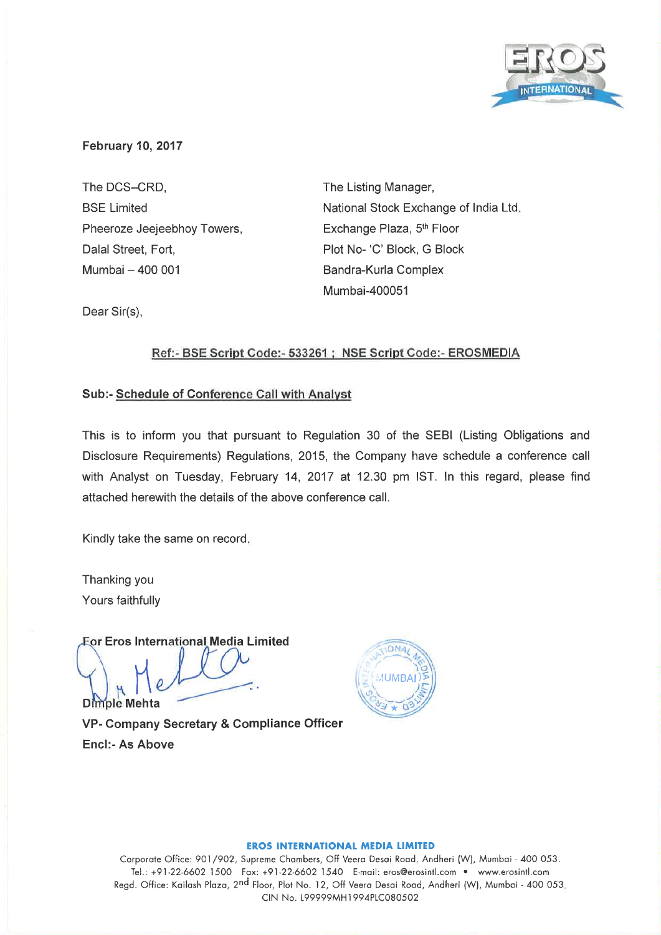

## **February 10, 2017**

The DCS-CRD. **BSE Limited** Pheeroze Jeejeebhoy Towers, Dalal Street, Fort, Mumbai - 400 001

The Listing Manager, National Stock Exchange of India Ltd. Exchange Plaza, 5th Floor Plot No- 'C' Block, G Block Bandra-Kurla Complex Mumbai-400051

Dear Sir(s),

## Ref:- BSE Script Code:- 533261 ; NSE Script Code:- EROSMEDIA

### Sub:- Schedule of Conference Call with Analyst

This is to inform you that pursuant to Regulation 30 of the SEBI (Listing Obligations and Disclosure Requirements) Regulations, 2015, the Company have schedule a conference call with Analyst on Tuesday, February 14, 2017 at 12.30 pm IST. In this regard, please find attached herewith the details of the above conference call.

Kindly take the same on record,

Thanking you Yours faithfully

For Eros International Media Limited

Dimple Mehta VP- Company Secretary & Compliance Officer **Encl:- As Above** 



#### **EROS INTERNATIONAL MEDIA LIMITED**

Corporate Office: 901/902, Supreme Chambers, Off Veera Desai Road, Andheri (W), Mumbai - 400 053. Tel.: +91-22-6602 1500 Fax: +91-22-6602 1540 E-mail: eros@erosintl.com . www.erosintl.com Regd. Office: Kailash Plaza, 2<sup>nd</sup> Floor, Plot No. 12, Off Veera Desai Road, Andheri (W), Mumbai - 400 053. CIN No. L99999MH1994PLC080502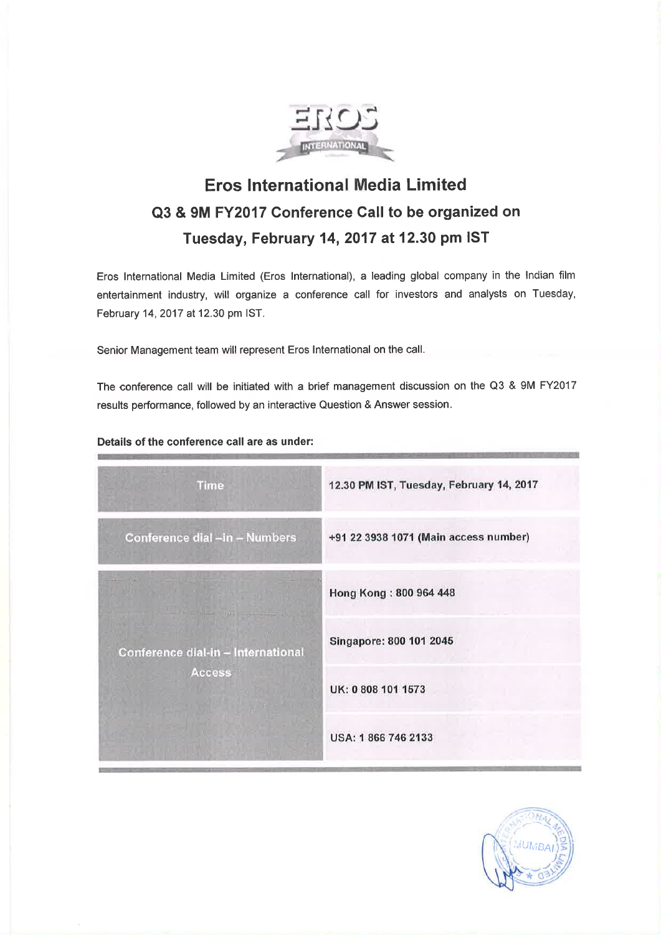

# **Eros International Media Limited** Q3 & 9M FY2017 Conference Call to be organized on Tuesday, February 14, 2017 at 12.30 pm IST

Eros International Media Limited (Eros International), a leading global company in the Indian film entertainment industry, will organize a conference call for investors and analysts on Tuesday, February 14, 2017 at 12.30 pm IST.

Senior Management team will represent Eros International on the call.

The conference call will be initiated with a brief management discussion on the Q3 & 9M FY2017 results performance, followed by an interactive Question & Answer session.

#### Details of the conference call are as under:

| <b>Time</b>                                  | 12.30 PM IST, Tuesday, February 14, 2017 |
|----------------------------------------------|------------------------------------------|
| Conference dial-in-Numbers                   | +91 22 3938 1071 (Main access number)    |
| Conference dial-in - International<br>Access | Hong Kong: 800 964 448                   |
|                                              | Singapore: 800 101 2045                  |
|                                              | UK: 0 808 101 1573                       |
|                                              | USA: 1866 746 2133                       |